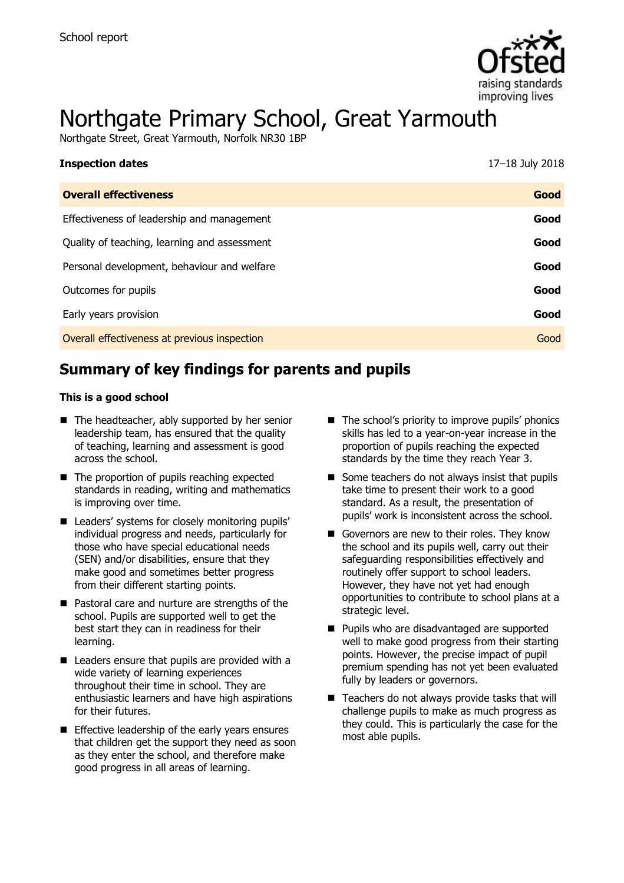

# Northgate Primary School, Great Yarmouth

Northgate Street, Great Yarmouth, Norfolk NR30 1BP

| <b>Inspection dates</b>                      | 17-18 July 2018 |
|----------------------------------------------|-----------------|
| <b>Overall effectiveness</b>                 | Good            |
| Effectiveness of leadership and management   | Good            |
| Quality of teaching, learning and assessment | Good            |
| Personal development, behaviour and welfare  | Good            |
| Outcomes for pupils                          | Good            |
| Early years provision                        | Good            |
| Overall effectiveness at previous inspection | Good            |

# **Summary of key findings for parents and pupils**

#### **This is a good school**

- $\blacksquare$  The headteacher, ably supported by her senior leadership team, has ensured that the quality of teaching, learning and assessment is good across the school.
- The proportion of pupils reaching expected standards in reading, writing and mathematics is improving over time.
- Leaders' systems for closely monitoring pupils' individual progress and needs, particularly for those who have special educational needs (SEN) and/or disabilities, ensure that they make good and sometimes better progress from their different starting points.
- Pastoral care and nurture are strengths of the school. Pupils are supported well to get the best start they can in readiness for their learning.
- Leaders ensure that pupils are provided with a wide variety of learning experiences throughout their time in school. They are enthusiastic learners and have high aspirations for their futures.
- **Effective leadership of the early years ensures** that children get the support they need as soon as they enter the school, and therefore make good progress in all areas of learning.
- The school's priority to improve pupils' phonics skills has led to a year-on-year increase in the proportion of pupils reaching the expected standards by the time they reach Year 3.
- $\blacksquare$  Some teachers do not always insist that pupils take time to present their work to a good standard. As a result, the presentation of pupils' work is inconsistent across the school.
- Governors are new to their roles. They know the school and its pupils well, carry out their safeguarding responsibilities effectively and routinely offer support to school leaders. However, they have not yet had enough opportunities to contribute to school plans at a strategic level.
- **Pupils who are disadvantaged are supported** well to make good progress from their starting points. However, the precise impact of pupil premium spending has not yet been evaluated fully by leaders or governors.
- Teachers do not always provide tasks that will challenge pupils to make as much progress as they could. This is particularly the case for the most able pupils.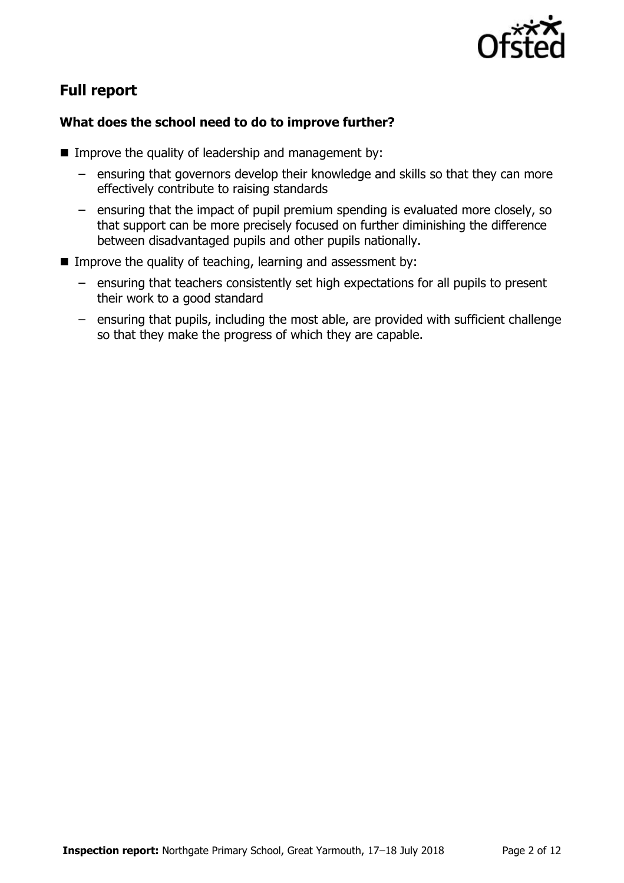

# **Full report**

### **What does the school need to do to improve further?**

- **IMPROVE the quality of leadership and management by:** 
	- ensuring that governors develop their knowledge and skills so that they can more effectively contribute to raising standards
	- ensuring that the impact of pupil premium spending is evaluated more closely, so that support can be more precisely focused on further diminishing the difference between disadvantaged pupils and other pupils nationally.
- **IMPROVE the quality of teaching, learning and assessment by:** 
	- ensuring that teachers consistently set high expectations for all pupils to present their work to a good standard
	- ensuring that pupils, including the most able, are provided with sufficient challenge so that they make the progress of which they are capable.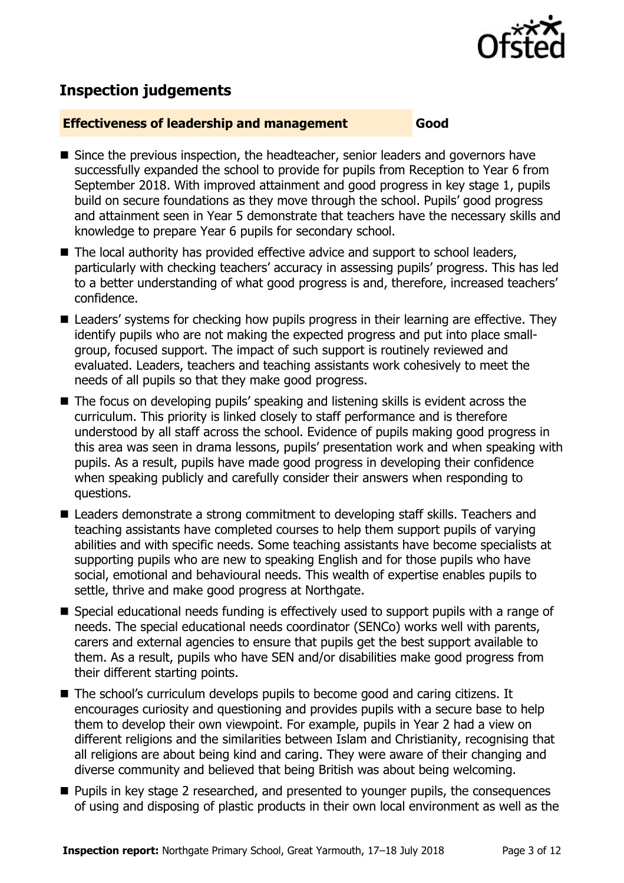

# **Inspection judgements**

#### **Effectiveness of leadership and management Good**

- Since the previous inspection, the headteacher, senior leaders and governors have successfully expanded the school to provide for pupils from Reception to Year 6 from September 2018. With improved attainment and good progress in key stage 1, pupils build on secure foundations as they move through the school. Pupils' good progress and attainment seen in Year 5 demonstrate that teachers have the necessary skills and knowledge to prepare Year 6 pupils for secondary school.
- The local authority has provided effective advice and support to school leaders, particularly with checking teachers' accuracy in assessing pupils' progress. This has led to a better understanding of what good progress is and, therefore, increased teachers' confidence.
- Leaders' systems for checking how pupils progress in their learning are effective. They identify pupils who are not making the expected progress and put into place smallgroup, focused support. The impact of such support is routinely reviewed and evaluated. Leaders, teachers and teaching assistants work cohesively to meet the needs of all pupils so that they make good progress.
- The focus on developing pupils' speaking and listening skills is evident across the curriculum. This priority is linked closely to staff performance and is therefore understood by all staff across the school. Evidence of pupils making good progress in this area was seen in drama lessons, pupils' presentation work and when speaking with pupils. As a result, pupils have made good progress in developing their confidence when speaking publicly and carefully consider their answers when responding to questions.
- Leaders demonstrate a strong commitment to developing staff skills. Teachers and teaching assistants have completed courses to help them support pupils of varying abilities and with specific needs. Some teaching assistants have become specialists at supporting pupils who are new to speaking English and for those pupils who have social, emotional and behavioural needs. This wealth of expertise enables pupils to settle, thrive and make good progress at Northgate.
- Special educational needs funding is effectively used to support pupils with a range of needs. The special educational needs coordinator (SENCo) works well with parents, carers and external agencies to ensure that pupils get the best support available to them. As a result, pupils who have SEN and/or disabilities make good progress from their different starting points.
- The school's curriculum develops pupils to become good and caring citizens. It encourages curiosity and questioning and provides pupils with a secure base to help them to develop their own viewpoint. For example, pupils in Year 2 had a view on different religions and the similarities between Islam and Christianity, recognising that all religions are about being kind and caring. They were aware of their changing and diverse community and believed that being British was about being welcoming.
- **Pupils in key stage 2 researched, and presented to younger pupils, the consequences** of using and disposing of plastic products in their own local environment as well as the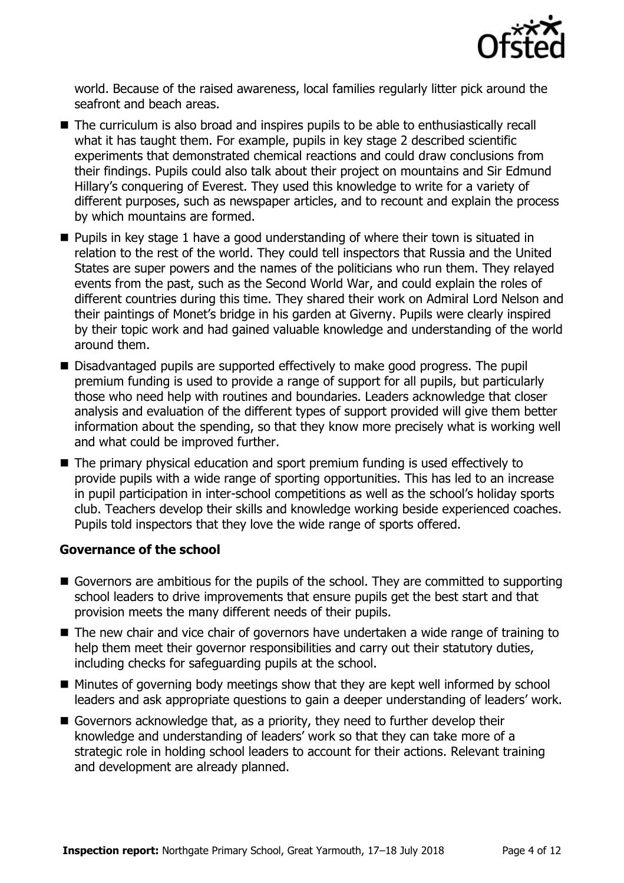

world. Because of the raised awareness, local families regularly litter pick around the seafront and beach areas.

- The curriculum is also broad and inspires pupils to be able to enthusiastically recall what it has taught them. For example, pupils in key stage 2 described scientific experiments that demonstrated chemical reactions and could draw conclusions from their findings. Pupils could also talk about their project on mountains and Sir Edmund Hillary's conquering of Everest. They used this knowledge to write for a variety of different purposes, such as newspaper articles, and to recount and explain the process by which mountains are formed.
- **Pupils in key stage 1 have a good understanding of where their town is situated in** relation to the rest of the world. They could tell inspectors that Russia and the United States are super powers and the names of the politicians who run them. They relayed events from the past, such as the Second World War, and could explain the roles of different countries during this time. They shared their work on Admiral Lord Nelson and their paintings of Monet's bridge in his garden at Giverny. Pupils were clearly inspired by their topic work and had gained valuable knowledge and understanding of the world around them.
- Disadvantaged pupils are supported effectively to make good progress. The pupil premium funding is used to provide a range of support for all pupils, but particularly those who need help with routines and boundaries. Leaders acknowledge that closer analysis and evaluation of the different types of support provided will give them better information about the spending, so that they know more precisely what is working well and what could be improved further.
- The primary physical education and sport premium funding is used effectively to provide pupils with a wide range of sporting opportunities. This has led to an increase in pupil participation in inter-school competitions as well as the school's holiday sports club. Teachers develop their skills and knowledge working beside experienced coaches. Pupils told inspectors that they love the wide range of sports offered.

#### **Governance of the school**

- Governors are ambitious for the pupils of the school. They are committed to supporting school leaders to drive improvements that ensure pupils get the best start and that provision meets the many different needs of their pupils.
- The new chair and vice chair of governors have undertaken a wide range of training to help them meet their governor responsibilities and carry out their statutory duties, including checks for safeguarding pupils at the school.
- $\blacksquare$  Minutes of governing body meetings show that they are kept well informed by school leaders and ask appropriate questions to gain a deeper understanding of leaders' work.
- Governors acknowledge that, as a priority, they need to further develop their knowledge and understanding of leaders' work so that they can take more of a strategic role in holding school leaders to account for their actions. Relevant training and development are already planned.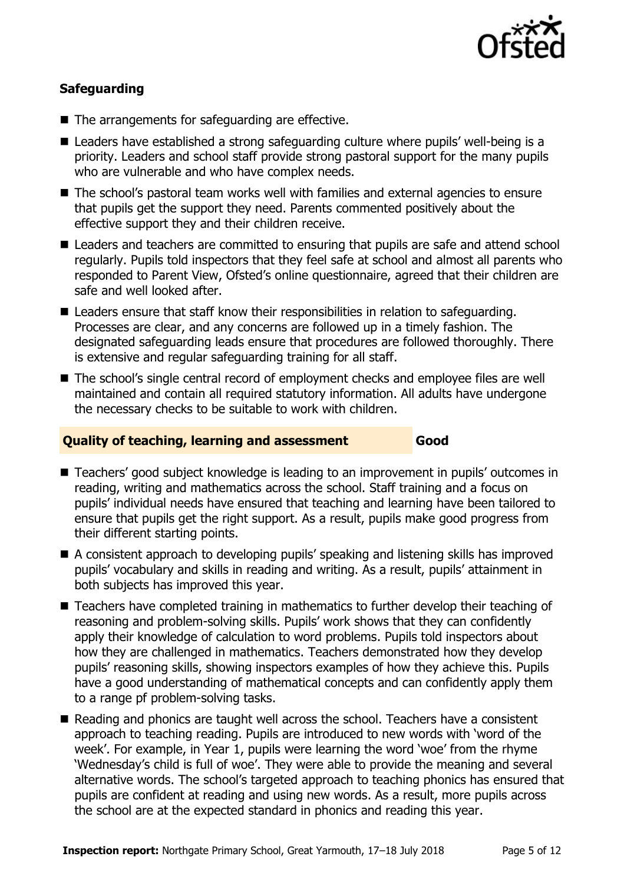

### **Safeguarding**

- The arrangements for safeguarding are effective.
- Leaders have established a strong safeguarding culture where pupils' well-being is a priority. Leaders and school staff provide strong pastoral support for the many pupils who are vulnerable and who have complex needs.
- The school's pastoral team works well with families and external agencies to ensure that pupils get the support they need. Parents commented positively about the effective support they and their children receive.
- Leaders and teachers are committed to ensuring that pupils are safe and attend school regularly. Pupils told inspectors that they feel safe at school and almost all parents who responded to Parent View, Ofsted's online questionnaire, agreed that their children are safe and well looked after.
- Leaders ensure that staff know their responsibilities in relation to safeguarding. Processes are clear, and any concerns are followed up in a timely fashion. The designated safeguarding leads ensure that procedures are followed thoroughly. There is extensive and regular safeguarding training for all staff.
- The school's single central record of employment checks and employee files are well maintained and contain all required statutory information. All adults have undergone the necessary checks to be suitable to work with children.

#### **Quality of teaching, learning and assessment Good**

- Teachers' good subject knowledge is leading to an improvement in pupils' outcomes in reading, writing and mathematics across the school. Staff training and a focus on pupils' individual needs have ensured that teaching and learning have been tailored to ensure that pupils get the right support. As a result, pupils make good progress from their different starting points.
- A consistent approach to developing pupils' speaking and listening skills has improved pupils' vocabulary and skills in reading and writing. As a result, pupils' attainment in both subjects has improved this year.
- Teachers have completed training in mathematics to further develop their teaching of reasoning and problem-solving skills. Pupils' work shows that they can confidently apply their knowledge of calculation to word problems. Pupils told inspectors about how they are challenged in mathematics. Teachers demonstrated how they develop pupils' reasoning skills, showing inspectors examples of how they achieve this. Pupils have a good understanding of mathematical concepts and can confidently apply them to a range pf problem-solving tasks.
- Reading and phonics are taught well across the school. Teachers have a consistent approach to teaching reading. Pupils are introduced to new words with 'word of the week'. For example, in Year 1, pupils were learning the word 'woe' from the rhyme 'Wednesday's child is full of woe'. They were able to provide the meaning and several alternative words. The school's targeted approach to teaching phonics has ensured that pupils are confident at reading and using new words. As a result, more pupils across the school are at the expected standard in phonics and reading this year.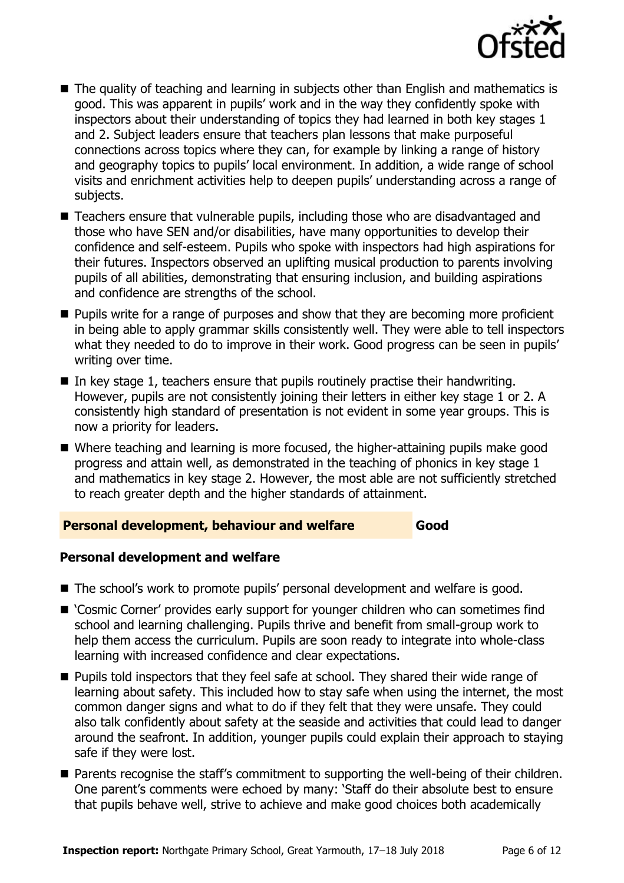

- The quality of teaching and learning in subjects other than English and mathematics is good. This was apparent in pupils' work and in the way they confidently spoke with inspectors about their understanding of topics they had learned in both key stages 1 and 2. Subject leaders ensure that teachers plan lessons that make purposeful connections across topics where they can, for example by linking a range of history and geography topics to pupils' local environment. In addition, a wide range of school visits and enrichment activities help to deepen pupils' understanding across a range of subjects.
- Teachers ensure that vulnerable pupils, including those who are disadvantaged and those who have SEN and/or disabilities, have many opportunities to develop their confidence and self-esteem. Pupils who spoke with inspectors had high aspirations for their futures. Inspectors observed an uplifting musical production to parents involving pupils of all abilities, demonstrating that ensuring inclusion, and building aspirations and confidence are strengths of the school.
- **Pupils write for a range of purposes and show that they are becoming more proficient** in being able to apply grammar skills consistently well. They were able to tell inspectors what they needed to do to improve in their work. Good progress can be seen in pupils' writing over time.
- In key stage 1, teachers ensure that pupils routinely practise their handwriting. However, pupils are not consistently joining their letters in either key stage 1 or 2. A consistently high standard of presentation is not evident in some year groups. This is now a priority for leaders.
- Where teaching and learning is more focused, the higher-attaining pupils make good progress and attain well, as demonstrated in the teaching of phonics in key stage 1 and mathematics in key stage 2. However, the most able are not sufficiently stretched to reach greater depth and the higher standards of attainment.

#### **Personal development, behaviour and welfare Good**

#### **Personal development and welfare**

- The school's work to promote pupils' personal development and welfare is good.
- 'Cosmic Corner' provides early support for younger children who can sometimes find school and learning challenging. Pupils thrive and benefit from small-group work to help them access the curriculum. Pupils are soon ready to integrate into whole-class learning with increased confidence and clear expectations.
- **Pupils told inspectors that they feel safe at school. They shared their wide range of** learning about safety. This included how to stay safe when using the internet, the most common danger signs and what to do if they felt that they were unsafe. They could also talk confidently about safety at the seaside and activities that could lead to danger around the seafront. In addition, younger pupils could explain their approach to staying safe if they were lost.
- Parents recognise the staff's commitment to supporting the well-being of their children. One parent's comments were echoed by many: 'Staff do their absolute best to ensure that pupils behave well, strive to achieve and make good choices both academically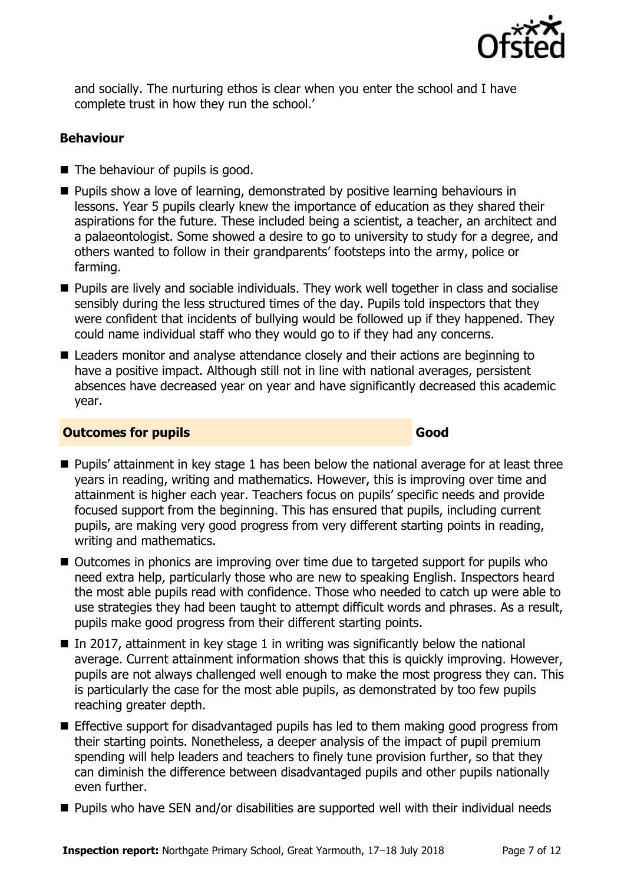

and socially. The nurturing ethos is clear when you enter the school and I have complete trust in how they run the school.'

#### **Behaviour**

- The behaviour of pupils is good.
- **Pupils show a love of learning, demonstrated by positive learning behaviours in** lessons. Year 5 pupils clearly knew the importance of education as they shared their aspirations for the future. These included being a scientist, a teacher, an architect and a palaeontologist. Some showed a desire to go to university to study for a degree, and others wanted to follow in their grandparents' footsteps into the army, police or farming.
- **Pupils are lively and sociable individuals. They work well together in class and socialise** sensibly during the less structured times of the day. Pupils told inspectors that they were confident that incidents of bullying would be followed up if they happened. They could name individual staff who they would go to if they had any concerns.
- Leaders monitor and analyse attendance closely and their actions are beginning to have a positive impact. Although still not in line with national averages, persistent absences have decreased year on year and have significantly decreased this academic year.

#### **Outcomes for pupils Good**

- **Pupils'** attainment in key stage 1 has been below the national average for at least three years in reading, writing and mathematics. However, this is improving over time and attainment is higher each year. Teachers focus on pupils' specific needs and provide focused support from the beginning. This has ensured that pupils, including current pupils, are making very good progress from very different starting points in reading, writing and mathematics.
- Outcomes in phonics are improving over time due to targeted support for pupils who need extra help, particularly those who are new to speaking English. Inspectors heard the most able pupils read with confidence. Those who needed to catch up were able to use strategies they had been taught to attempt difficult words and phrases. As a result, pupils make good progress from their different starting points.
- In 2017, attainment in key stage 1 in writing was significantly below the national average. Current attainment information shows that this is quickly improving. However, pupils are not always challenged well enough to make the most progress they can. This is particularly the case for the most able pupils, as demonstrated by too few pupils reaching greater depth.
- Effective support for disadvantaged pupils has led to them making good progress from their starting points. Nonetheless, a deeper analysis of the impact of pupil premium spending will help leaders and teachers to finely tune provision further, so that they can diminish the difference between disadvantaged pupils and other pupils nationally even further.
- **Pupils who have SEN and/or disabilities are supported well with their individual needs**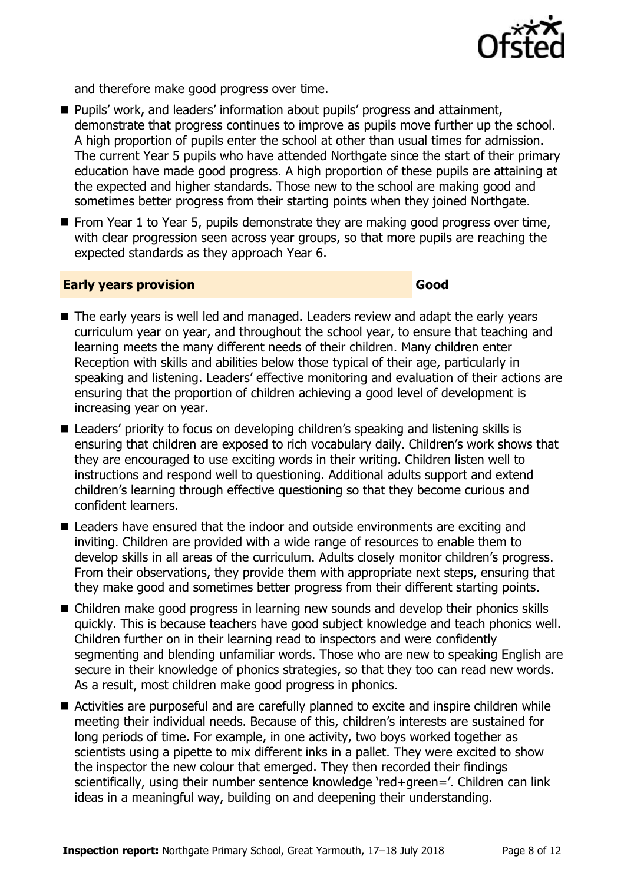

and therefore make good progress over time.

- Pupils' work, and leaders' information about pupils' progress and attainment, demonstrate that progress continues to improve as pupils move further up the school. A high proportion of pupils enter the school at other than usual times for admission. The current Year 5 pupils who have attended Northgate since the start of their primary education have made good progress. A high proportion of these pupils are attaining at the expected and higher standards. Those new to the school are making good and sometimes better progress from their starting points when they joined Northgate.
- $\blacksquare$  From Year 1 to Year 5, pupils demonstrate they are making good progress over time, with clear progression seen across year groups, so that more pupils are reaching the expected standards as they approach Year 6.

#### **Early years provision Good Good**

- The early years is well led and managed. Leaders review and adapt the early years curriculum year on year, and throughout the school year, to ensure that teaching and learning meets the many different needs of their children. Many children enter Reception with skills and abilities below those typical of their age, particularly in speaking and listening. Leaders' effective monitoring and evaluation of their actions are ensuring that the proportion of children achieving a good level of development is increasing year on year.
- Leaders' priority to focus on developing children's speaking and listening skills is ensuring that children are exposed to rich vocabulary daily. Children's work shows that they are encouraged to use exciting words in their writing. Children listen well to instructions and respond well to questioning. Additional adults support and extend children's learning through effective questioning so that they become curious and confident learners.
- Leaders have ensured that the indoor and outside environments are exciting and inviting. Children are provided with a wide range of resources to enable them to develop skills in all areas of the curriculum. Adults closely monitor children's progress. From their observations, they provide them with appropriate next steps, ensuring that they make good and sometimes better progress from their different starting points.
- Children make good progress in learning new sounds and develop their phonics skills quickly. This is because teachers have good subject knowledge and teach phonics well. Children further on in their learning read to inspectors and were confidently segmenting and blending unfamiliar words. Those who are new to speaking English are secure in their knowledge of phonics strategies, so that they too can read new words. As a result, most children make good progress in phonics.
- Activities are purposeful and are carefully planned to excite and inspire children while meeting their individual needs. Because of this, children's interests are sustained for long periods of time. For example, in one activity, two boys worked together as scientists using a pipette to mix different inks in a pallet. They were excited to show the inspector the new colour that emerged. They then recorded their findings scientifically, using their number sentence knowledge 'red+green='. Children can link ideas in a meaningful way, building on and deepening their understanding.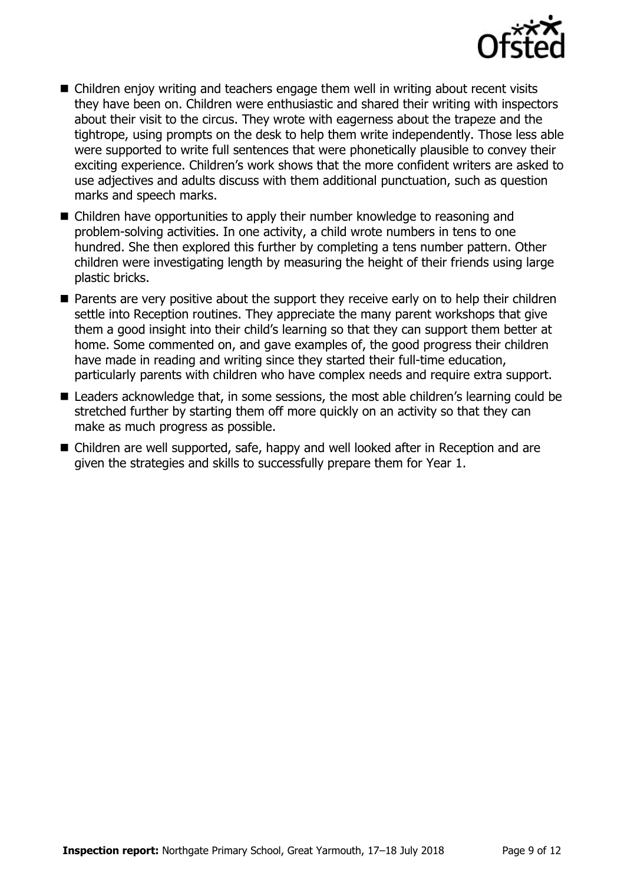

- Children enjoy writing and teachers engage them well in writing about recent visits they have been on. Children were enthusiastic and shared their writing with inspectors about their visit to the circus. They wrote with eagerness about the trapeze and the tightrope, using prompts on the desk to help them write independently. Those less able were supported to write full sentences that were phonetically plausible to convey their exciting experience. Children's work shows that the more confident writers are asked to use adjectives and adults discuss with them additional punctuation, such as question marks and speech marks.
- Children have opportunities to apply their number knowledge to reasoning and problem-solving activities. In one activity, a child wrote numbers in tens to one hundred. She then explored this further by completing a tens number pattern. Other children were investigating length by measuring the height of their friends using large plastic bricks.
- **Parents are very positive about the support they receive early on to help their children** settle into Reception routines. They appreciate the many parent workshops that give them a good insight into their child's learning so that they can support them better at home. Some commented on, and gave examples of, the good progress their children have made in reading and writing since they started their full-time education, particularly parents with children who have complex needs and require extra support.
- Leaders acknowledge that, in some sessions, the most able children's learning could be stretched further by starting them off more quickly on an activity so that they can make as much progress as possible.
- Children are well supported, safe, happy and well looked after in Reception and are given the strategies and skills to successfully prepare them for Year 1.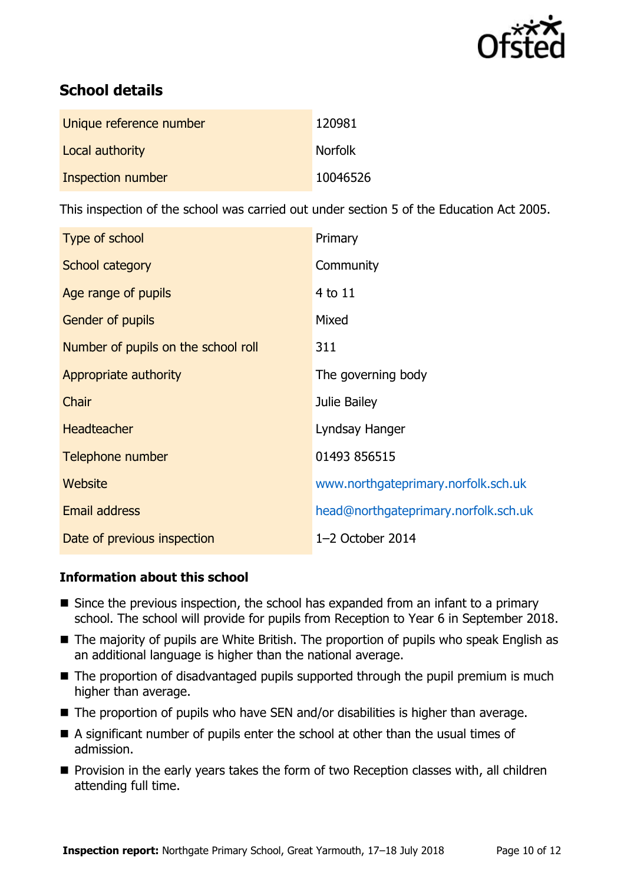

# **School details**

| Unique reference number | 120981         |
|-------------------------|----------------|
| Local authority         | <b>Norfolk</b> |
| Inspection number       | 10046526       |

This inspection of the school was carried out under section 5 of the Education Act 2005.

| Type of school                      | Primary                              |
|-------------------------------------|--------------------------------------|
| School category                     | Community                            |
| Age range of pupils                 | 4 to 11                              |
| Gender of pupils                    | Mixed                                |
| Number of pupils on the school roll | 311                                  |
| Appropriate authority               | The governing body                   |
| Chair                               | Julie Bailey                         |
| <b>Headteacher</b>                  | Lyndsay Hanger                       |
| Telephone number                    | 01493 856515                         |
| <b>Website</b>                      | www.northgateprimary.norfolk.sch.uk  |
| Email address                       | head@northgateprimary.norfolk.sch.uk |
| Date of previous inspection         | $1-2$ October 2014                   |

### **Information about this school**

- Since the previous inspection, the school has expanded from an infant to a primary school. The school will provide for pupils from Reception to Year 6 in September 2018.
- The majority of pupils are White British. The proportion of pupils who speak English as an additional language is higher than the national average.
- The proportion of disadvantaged pupils supported through the pupil premium is much higher than average.
- The proportion of pupils who have SEN and/or disabilities is higher than average.
- A significant number of pupils enter the school at other than the usual times of admission.
- **Provision in the early years takes the form of two Reception classes with, all children** attending full time.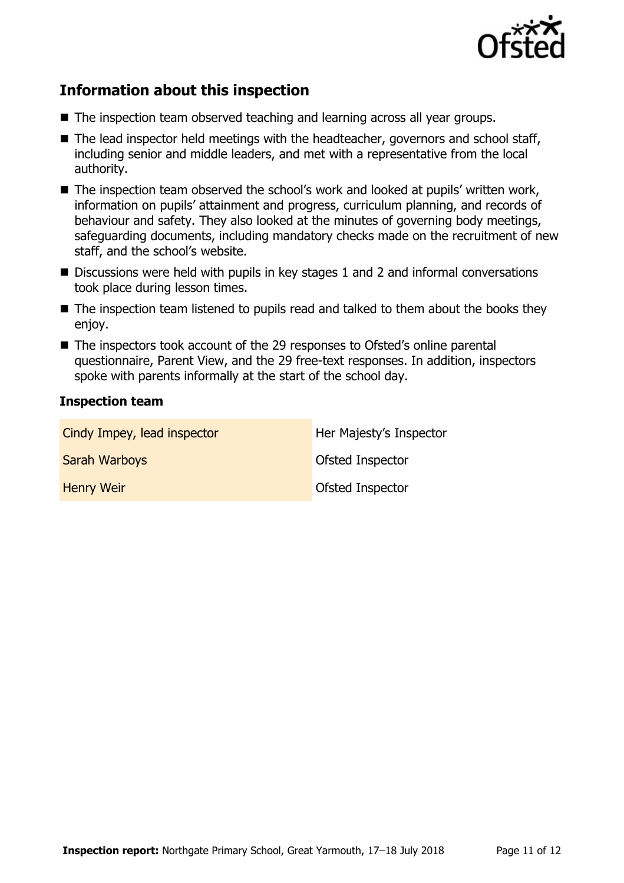

# **Information about this inspection**

- The inspection team observed teaching and learning across all year groups.
- $\blacksquare$  The lead inspector held meetings with the headteacher, governors and school staff, including senior and middle leaders, and met with a representative from the local authority.
- The inspection team observed the school's work and looked at pupils' written work, information on pupils' attainment and progress, curriculum planning, and records of behaviour and safety. They also looked at the minutes of governing body meetings, safeguarding documents, including mandatory checks made on the recruitment of new staff, and the school's website.
- Discussions were held with pupils in key stages 1 and 2 and informal conversations took place during lesson times.
- The inspection team listened to pupils read and talked to them about the books they enjoy.
- The inspectors took account of the 29 responses to Ofsted's online parental questionnaire, Parent View, and the 29 free-text responses. In addition, inspectors spoke with parents informally at the start of the school day.

#### **Inspection team**

| Cindy Impey, lead inspector | Her Majesty's Inspector |
|-----------------------------|-------------------------|
| <b>Sarah Warboys</b>        | <b>Ofsted Inspector</b> |
| <b>Henry Weir</b>           | <b>Ofsted Inspector</b> |